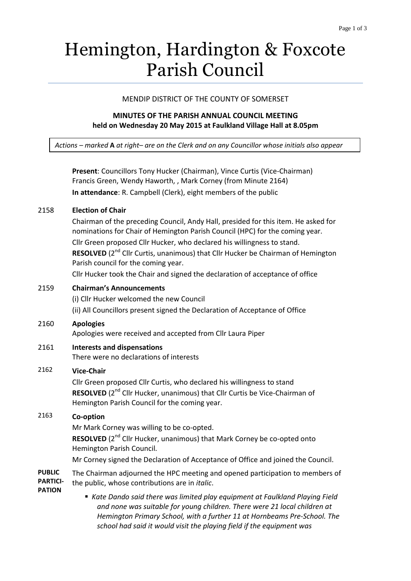# Hemington, Hardington & Foxcote Parish Council

## MENDIP DISTRICT OF THE COUNTY OF SOMERSET

## **MINUTES OF THE PARISH ANNUAL COUNCIL MEETING held on Wednesday 20 May 2015 at Faulkland Village Hall at 8.05pm**

*Actions – marked* **A** *at right– are on the Clerk and on any Councillor whose initials also appear*

|                                                   | Present: Councillors Tony Hucker (Chairman), Vince Curtis (Vice-Chairman)<br>Francis Green, Wendy Haworth, , Mark Corney (from Minute 2164)                                                                                                                                                                                                                                                                                                                                                      |
|---------------------------------------------------|--------------------------------------------------------------------------------------------------------------------------------------------------------------------------------------------------------------------------------------------------------------------------------------------------------------------------------------------------------------------------------------------------------------------------------------------------------------------------------------------------|
|                                                   | In attendance: R. Campbell (Clerk), eight members of the public                                                                                                                                                                                                                                                                                                                                                                                                                                  |
| 2158                                              | <b>Election of Chair</b><br>Chairman of the preceding Council, Andy Hall, presided for this item. He asked for<br>nominations for Chair of Hemington Parish Council (HPC) for the coming year.<br>Cllr Green proposed Cllr Hucker, who declared his willingness to stand.<br>RESOLVED (2 <sup>nd</sup> Cllr Curtis, unanimous) that Cllr Hucker be Chairman of Hemington<br>Parish council for the coming year.<br>Cllr Hucker took the Chair and signed the declaration of acceptance of office |
| 2159                                              | <b>Chairman's Announcements</b><br>(i) Cllr Hucker welcomed the new Council<br>(ii) All Councillors present signed the Declaration of Acceptance of Office                                                                                                                                                                                                                                                                                                                                       |
| 2160                                              | <b>Apologies</b><br>Apologies were received and accepted from Cllr Laura Piper                                                                                                                                                                                                                                                                                                                                                                                                                   |
| 2161                                              | <b>Interests and dispensations</b><br>There were no declarations of interests                                                                                                                                                                                                                                                                                                                                                                                                                    |
| 2162                                              | <b>Vice-Chair</b><br>Cllr Green proposed Cllr Curtis, who declared his willingness to stand<br>RESOLVED (2 <sup>nd</sup> Cllr Hucker, unanimous) that Cllr Curtis be Vice-Chairman of<br>Hemington Parish Council for the coming year.                                                                                                                                                                                                                                                           |
| 2163                                              | Co-option<br>Mr Mark Corney was willing to be co-opted.<br>RESOLVED (2 <sup>nd</sup> Cllr Hucker, unanimous) that Mark Corney be co-opted onto<br>Hemington Parish Council.<br>Mr Corney signed the Declaration of Acceptance of Office and joined the Council.                                                                                                                                                                                                                                  |
| <b>PUBLIC</b><br><b>PARTICI-</b><br><b>PATION</b> | The Chairman adjourned the HPC meeting and opened participation to members of<br>the public, whose contributions are in <i>italic</i> .                                                                                                                                                                                                                                                                                                                                                          |
|                                                   | Kate Dando said there was limited play equipment at Faulkland Playing Field<br>and none was suitable for young children. There were 21 local children at<br>Hemington Primary School, with a further 11 at Hornbeams Pre-School. The                                                                                                                                                                                                                                                             |

*school had said it would visit the playing field if the equipment was*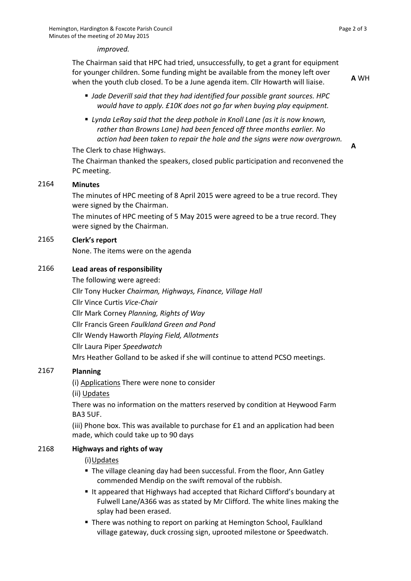#### *improved.*

The Chairman said that HPC had tried, unsuccessfully, to get a grant for equipment for younger children. Some funding might be available from the money left over when the youth club closed. To be a June agenda item. Cllr Howarth will liaise.

**A** WH

**A**

- *Jade Deverill said that they had identified four possible grant sources. HPC would have to apply. £10K does not go far when buying play equipment.*
- *Lynda LeRay said that the deep pothole in Knoll Lane (as it is now known, rather than Browns Lane) had been fenced off three months earlier. No action had been taken to repair the hole and the signs were now overgrown.*

The Clerk to chase Highways.

The Chairman thanked the speakers, closed public participation and reconvened the PC meeting.

#### 2164 **Minutes**

The minutes of HPC meeting of 8 April 2015 were agreed to be a true record. They were signed by the Chairman.

The minutes of HPC meeting of 5 May 2015 were agreed to be a true record. They were signed by the Chairman.

## 2165 **Clerk's report**

None. The items were on the agenda

## 2166 **Lead areas of responsibility**

The following were agreed: Cllr Tony Hucker *Chairman, Highways, Finance, Village Hall* Cllr Vince Curtis *Vice-Chair* Cllr Mark Corney *Planning, Rights of Way* Cllr Francis Green *Faulkland Green and Pond* Cllr Wendy Haworth *Playing Field, Allotments* Cllr Laura Piper *Speedwatch* Mrs Heather Golland to be asked if she will continue to attend PCSO meetings.

## 2167 **Planning**

(i) Applications There were none to consider

(ii) Updates

There was no information on the matters reserved by condition at Heywood Farm BA3 5UF.

(iii) Phone box. This was available to purchase for £1 and an application had been made, which could take up to 90 days

## 2168 **Highways and rights of way**

## (i)Updates

- The village cleaning day had been successful. From the floor, Ann Gatley commended Mendip on the swift removal of the rubbish.
- It appeared that Highways had accepted that Richard Clifford's boundary at Fulwell Lane/A366 was as stated by Mr Clifford. The white lines making the splay had been erased.
- There was nothing to report on parking at Hemington School, Faulkland village gateway, duck crossing sign, uprooted milestone or Speedwatch.